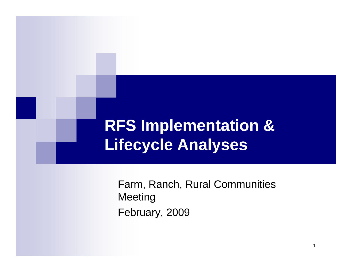# **RFS Implementation & Lifecycle Analyses**

Farm, Ranch, Rural Communities Meeting February, 2009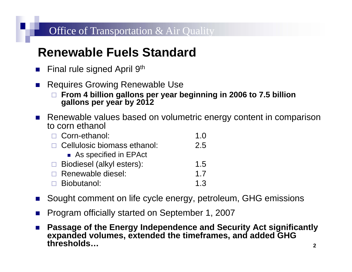## **Renewable Fuels Standard**

- F. Final rule signed April 9th
- У. Requires Growing Renewable Use
	- $\Box$  **From 4 billion gallons per year beginning in 2006 to 7.5 billion gallons per year by 2012**
- P. Renewable values based on volumetric energy content in comparison to corn ethanol

| $\Box$ Corn-ethanol:               | 1.0 |
|------------------------------------|-----|
| $\Box$ Cellulosic biomass ethanol: | 2.5 |
| As specified in EPAct              |     |
| $\Box$ Biodiesel (alkyl esters):   | 1.5 |
| $\Box$ Renewable diesel:           | 17  |
| $\Box$ Biobutanol:                 | 1.3 |

- P. Sought comment on life cycle energy, petroleum, GHG emissions
- P. Program officially started on September 1, 2007
- 2× **Passage of the Energy Independence and Security Act significantly expanded volumes, extended the timeframes, and added GHG thresholds…**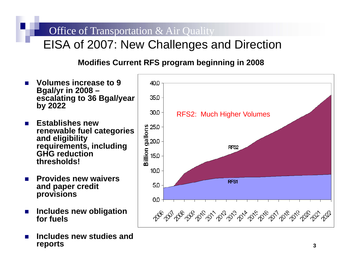## EISA of 2007: New Challenges and Direction

### **Modifies Current RFS program beginning in 2008**



F. **Includes new studies and reports**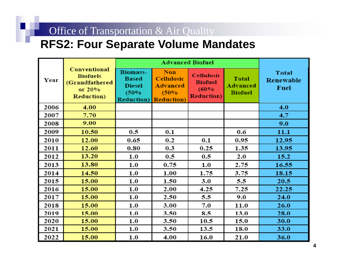### **RFS2: Four Separate Volume Mandates**

|      | Conventional<br><b>Biofuels</b><br>(Grandfathered<br>or 20%<br><b>Reduction</b> ) | <b>Advanced Biofuel</b>                                                        |                                                                                  |                                                                   |                                     |                                   |
|------|-----------------------------------------------------------------------------------|--------------------------------------------------------------------------------|----------------------------------------------------------------------------------|-------------------------------------------------------------------|-------------------------------------|-----------------------------------|
| Year |                                                                                   | <b>Biomass-</b><br><b>Based</b><br><b>Diesel</b><br>(50%<br><b>Reduction</b> ) | <b>Non</b><br><b>Cellulosic</b><br><b>Advanced</b><br>(50%<br><b>Reduction</b> ) | <b>Cellulosic</b><br><b>Biofuel</b><br>(60%<br><b>Reduction</b> ) | Total<br>Advanced<br><b>Biofuel</b> | Total<br>Renewable<br><b>Fuel</b> |
| 2006 | 4.00                                                                              |                                                                                |                                                                                  |                                                                   |                                     | 4.0                               |
| 2007 | 7.70                                                                              |                                                                                |                                                                                  |                                                                   |                                     | 4.7                               |
| 2008 | 9.00                                                                              |                                                                                |                                                                                  |                                                                   |                                     | 9.0                               |
| 2009 | 10.50                                                                             | 0.5                                                                            | 0.1                                                                              |                                                                   | 0.6                                 | 11.1                              |
| 2010 | 12.00                                                                             | 0.65                                                                           | 0.2                                                                              | 0.1                                                               | 0.95                                | 12.95                             |
| 2011 | 12.60                                                                             | 0.80                                                                           | 0.3                                                                              | 0.25                                                              | 1.35                                | 13.95                             |
| 2012 | 13.20                                                                             | 1.0                                                                            | 0.5                                                                              | 0.5                                                               | 2.0                                 | 15.2                              |
| 2013 | 13.80                                                                             | 1.0                                                                            | 0.75                                                                             | 1.0                                                               | 2.75                                | 16.55                             |
| 2014 | 14.50                                                                             | 1.0                                                                            | 1.00                                                                             | 1.75                                                              | 3.75                                | 18.15                             |
| 2015 | 15.00                                                                             | 1.0                                                                            | 1.50                                                                             | 3.0                                                               | 5.5                                 | 20.5                              |
| 2016 | 15.00                                                                             | 1.0                                                                            | 2.00                                                                             | 4.25                                                              | 7.25                                | 22.25                             |
| 2017 | 15.00                                                                             | 1.0                                                                            | 2.50                                                                             | 5.5                                                               | 9.0                                 | 24.0                              |
| 2018 | 15.00                                                                             | 1.0                                                                            | 3.00                                                                             | 7.0                                                               | 11.0                                | 26.0                              |
| 2019 | 15.00                                                                             | 1.0                                                                            | 3.50                                                                             | 8.5                                                               | 13.0                                | 28.0                              |
| 2020 | 15.00                                                                             | 1.0                                                                            | 3.50                                                                             | 10.5                                                              | 15.0                                | 30.0                              |
| 2021 | 15.00                                                                             | 1.0                                                                            | 3.50                                                                             | 13.5                                                              | 18.0                                | 33.0                              |
| 2022 | 15.00                                                                             | $1.0\,$                                                                        | 4.00                                                                             | 16.0                                                              | 21.0                                | 36.0                              |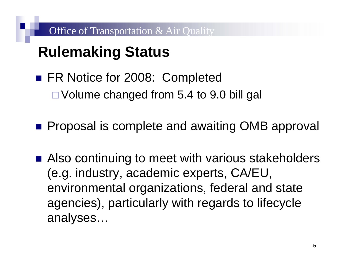# **Rulemaking Status**

- **FR Notice for 2008: Completed** Volume changed from 5.4 to 9.0 bill gal
- **Proposal is complete and awaiting OMB approval**
- Also continuing to meet with various stakeholders (e.g. industry, academic experts, CA/EU, environmental organizations, federal and state agencies), particularly with regards to lifecycle analyses…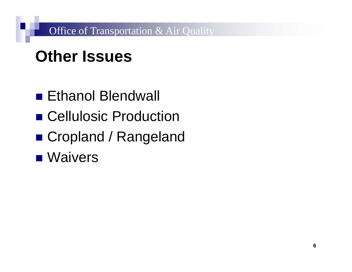# **Other Issues**

- Ethanol Blendwall
- Cellulosic Production
- Cropland / Rangeland
- **Waivers**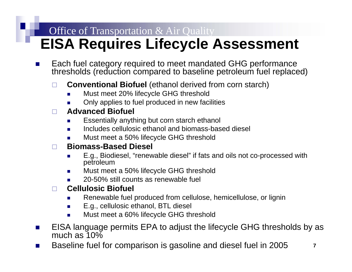## **Office of Transportation & Air Quality EISA Requires Lifecycle Assessment**

- Т. Each fuel category required to meet mandated GHG performance thresholds (reduction compared to baseline petroleum fuel replaced)
	- □ **Conventional Biofuel** (ethanol derived from corn starch)
		- E Must meet 20% lifecycle GHG threshold
		- L. Only applies to fuel produced in new facilities

#### $\Box$ **Advanced Biofuel**

- E Essentially anything but corn starch ethanol
- $\mathcal{L}_{\mathcal{A}}$ Includes cellulosic ethanol and biomass-based diesel
- П Must meet a 50% lifecycle GHG threshold

#### $\Box$ **Biomass-Based Diesel**

- $\mathcal{L}_{\mathcal{A}}$ E.g., Biodiesel, "renewable diesel" if fats and oils not co-processed with petroleum
- $\mathcal{L}_{\mathcal{A}}$ Must meet a 50% lifecycle GHG threshold
- П 20-50% still counts as renewable fuel

#### $\Box$ **Cellulosic Biofuel**

- L. Renewable fuel produced from cellulose, hemicellulose, or lignin
- $\mathcal{L}_{\mathcal{A}}$ E.g., cellulosic ethanol, BTL diesel
- $\blacksquare$ Must meet a 60% lifecycle GHG threshold
- r. EISA language permits EPA to adjust the lifecycle GHG thresholds by as much as 10%
- 7Т. Baseline fuel for comparison is gasoline and diesel fuel in 2005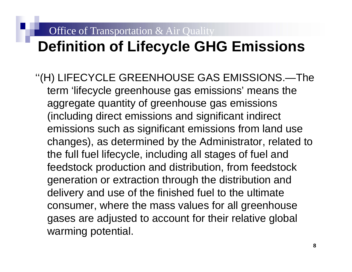## **Office of Transportation & Air Quality Definition of Lifecycle GHG Emissions**

''(H) LIFECYCLE GREENHOUSE GAS EMISSIONS.—The term 'lifecycle greenhouse gas emissions' means the aggregate quantity of greenhouse gas emissions (including direct emissions and significant indirect emissions such as significant emissions from land use changes), as determined by the Administrator, related to the full fuel lifecycle, including all stages of fuel and feedstock production and distribution, from feedstock generation or extraction through the distribution and delivery and use of the finished fuel to the ultimate consumer, where the mass values for all greenhouse gases are adjusted to account for their relative global warming potential.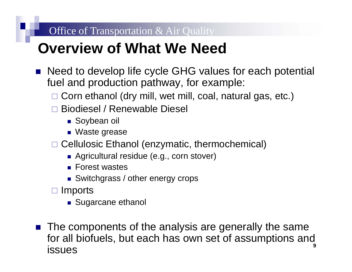# **Overview of What We Need**

- Need to develop life cycle GHG values for each potential fuel and production pathway, for example:
	- □ Corn ethanol (dry mill, wet mill, coal, natural gas, etc.)
	- $\Box$ Biodiesel / Renewable Diesel
		- Soybean oil
		- Waste grease
	- □ Cellulosic Ethanol (enzymatic, thermochemical)
		- Agricultural residue (e.g., corn stover)
		- **Forest wastes**
		- Switchgrass / other energy crops
	- □ Imports
		- **Sugarcane ethanol**

9F. The components of the analysis are generally the same for all biofuels, but each has own set of assumptions and issues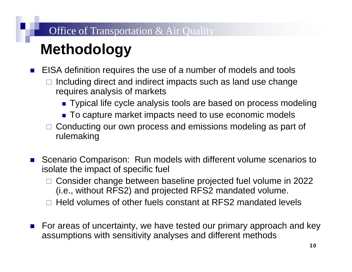# **Methodology**

P.  $\Box$  Including direct and indirect impacts such as land use change EISA definition requires the use of a number of models and tools

- requires analysis of markets
	- Typical life cycle analysis tools are based on process modeling
	- To capture market impacts need to use economic models
- □ Conducting our own process and emissions modeling as part of rulemaking
- F. Scenario Comparison: Run models with different volume scenarios to isolate the impact of specific fuel
	- □ Consider change between baseline projected fuel volume in 2022 (i.e., without RFS2) and projected RFS2 mandated volume.
	- □ Held volumes of other fuels constant at RFS2 mandated levels
- For areas of uncertainty, we have tested our primary approach and key assumptions with sensitivity analyses and different methods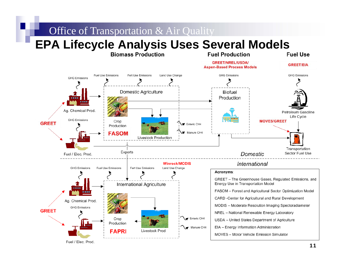#### **Office of Transportation & Air Quality EPA Lifecycle Analysis Uses Several Models Fuel Production Fuel Use GREET/NREL/USDA/ GREET/EIA Aspen-Based Process Models Fuel Use Emissions** Fert Use Emissions Land Use Change **GHG Emissions GHG Emissions GHG Emissions Domestic Agriculture Biofuel** Production Ag. Chemical Prod. Petroleum Gasoline Life Cycle **GHG Emissions MOVES/GREET** Crop **GREET** Enteric CH4 Production Manure CH4 **FASOM Livestock Production** Transportation Exports Domestic Sector Fuel Use Fuel / Elec. Prod. International **Winrock/MODIS GHG Emissions** Fuel Use Emissions Fert Use Emissions Land Use Change Acronvms: GREET - The Greenhouse Gases, Regulated Emissions, and Energy Use in Transportation Model **International Agriculture** FASOM - Forest and Agricultural Sector Optimization Model CARD -Center for Agricultural and Rural Development Ag. Chemical Prod. MODIS - Moderate Resolution Imaging Spectoradiameter **GHG Emissions GREET** NREL - National Renewable Energy Laboratory Enteric CH4 Crop USDA - United States Department of Agriculture Production EIA - Energy Information Administration Manure CH4 **FAPRI** Livestock Prod MOVES - Motor Vehicle Emission Simulator

Fuel / Elec. Prod.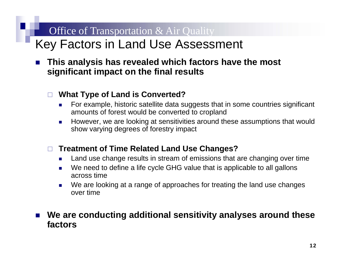## Key Factors in Land Use Assessment

#### P. **This analysis has revealed which factors have the most significant impact on the final results**

#### $\Box$ **What Type of Land is Converted?**

- E For example, historic satellite data suggests that in some countries significant amounts of forest would be converted to cropland
- $\blacksquare$ However, we are looking at sensitivities around these assumptions that would show varying degrees of forestry impact
- **Treatment of Time Related Land Use Changes?**
	- $\mathcal{L}_{\mathcal{A}}$ Land use change results in stream of emissions that are changing over time
	- $\mathcal{L}_{\mathcal{A}}$ We need to define a life cycle GHG value that is applicable to all gallons across time
	- $\mathcal{L}_{\mathcal{A}}$ We are looking at a range of approaches for treating the land use changes over time

#### F. **We are conducting additional sensitivity analyses around these factors**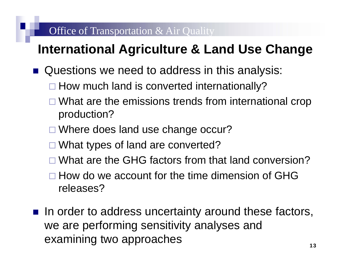## **International Agriculture & Land Use Change**

- Questions we need to address in this analysis:
	- □ How much land is converted internationally?
	- □ What are the emissions trends from international crop production?
	- □ Where does land use change occur?
	- □ What types of land are converted?
	- □ What are the GHG factors from that land conversion?
	- $\square$  How do we account for the time dimension of GHG releases?
- **If a** In order to address uncertainty around these factors, we are performing sensitivity analyses and examining two approaches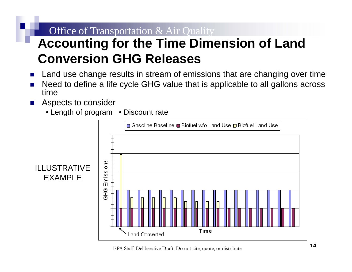## **Office of Transportation & Air Quality Accounting for the Time Dimension of Land Conversion GHG Releases**

- Т. Land use change results in stream of emissions that are changing over time
- Т. Need to define a life cycle GHG value that is applicable to all gallons across time
- r. Aspects to consider
	- Length of program Discount rate



EPA Staff Deliberative Draft: Do not cite, quote, or distribute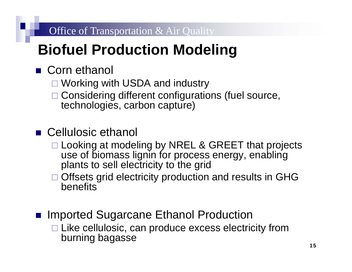# **Biofuel Production Modeling**

## ■ Corn ethanol

- □ Working with USDA and industry
- □ Considering different configurations (fuel source, technologies, carbon capture)
- Cellulosic ethanol
	- □ Looking at modeling by NREL & GREET that projects use of biomass lignin for process energy, enabling plants to sell electricity to the grid
	- □ Offsets grid electricity production and results in GHG **benefits**
- $\mathcal{L}(\mathcal{L})$ Imported Sugarcane Ethanol Production  $\Box$  Like cellulosic, can produce excess electricity from burning bagasse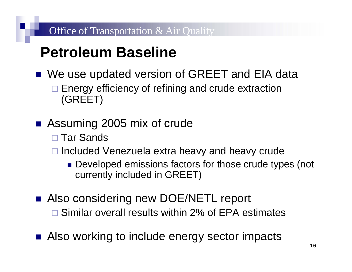# **Petroleum Baseline**

- We use updated version of GREET and EIA data □ Energy efficiency of refining and crude extraction (GREET)
- Assuming 2005 mix of crude
	- □ Tar Sands
	- □ Included Venezuela extra heavy and heavy crude
		- **Developed emissions factors for those crude types (not** currently included in GREET)
- Also considering new DOE/NETL report □ Similar overall results within 2% of EPA estimates
- Also working to include energy sector impacts